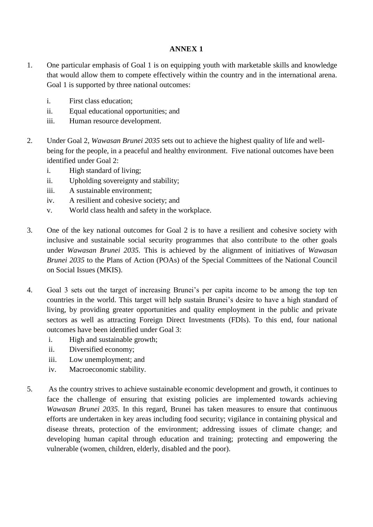## **ANNEX 1**

- 1. One particular emphasis of Goal 1 is on equipping youth with marketable skills and knowledge that would allow them to compete effectively within the country and in the international arena. Goal 1 is supported by three national outcomes:
	- i. First class education;
	- ii. Equal educational opportunities; and
	- iii. Human resource development.
- 2. Under Goal 2, *Wawasan Brunei 2035* sets out to achieve the highest quality of life and wellbeing for the people, in a peaceful and healthy environment. Five national outcomes have been identified under Goal 2:
	- i. High standard of living;
	- ii. Upholding sovereignty and stability;
	- iii. A sustainable environment;
	- iv. A resilient and cohesive society; and
	- v. World class health and safety in the workplace.
- 3. One of the key national outcomes for Goal 2 is to have a resilient and cohesive society with inclusive and sustainable social security programmes that also contribute to the other goals under *Wawasan Brunei 2035.* This is achieved by the alignment of initiatives of *Wawasan Brunei 2035* to the Plans of Action (POAs) of the Special Committees of the National Council on Social Issues (MKIS).
- 4. Goal 3 sets out the target of increasing Brunei's per capita income to be among the top ten countries in the world. This target will help sustain Brunei's desire to have a high standard of living, by providing greater opportunities and quality employment in the public and private sectors as well as attracting Foreign Direct Investments (FDIs). To this end, four national outcomes have been identified under Goal 3:
	- i. High and sustainable growth;
	- ii. Diversified economy;
	- iii. Low unemployment; and
	- iv. Macroeconomic stability.
- 5. As the country strives to achieve sustainable economic development and growth, it continues to face the challenge of ensuring that existing policies are implemented towards achieving *Wawasan Brunei 2035*. In this regard, Brunei has taken measures to ensure that continuous efforts are undertaken in key areas including food security; vigilance in containing physical and disease threats, protection of the environment; addressing issues of climate change; and developing human capital through education and training; protecting and empowering the vulnerable (women, children, elderly, disabled and the poor).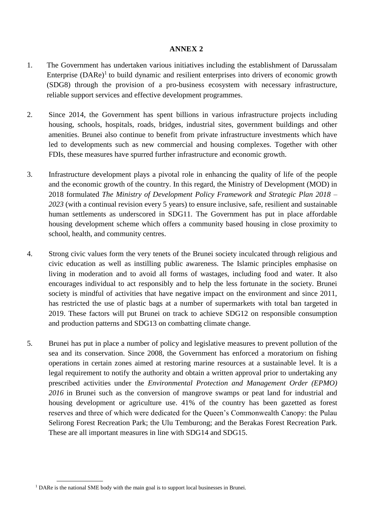## **ANNEX 2**

- 1. The Government has undertaken various initiatives including the establishment of Darussalam Enterprise  $(DARe)^{1}$  to build dynamic and resilient enterprises into drivers of economic growth (SDG8) through the provision of a pro-business ecosystem with necessary infrastructure, reliable support services and effective development programmes.
- 2. Since 2014, the Government has spent billions in various infrastructure projects including housing, schools, hospitals, roads, bridges, industrial sites, government buildings and other amenities. Brunei also continue to benefit from private infrastructure investments which have led to developments such as new commercial and housing complexes. Together with other FDIs, these measures have spurred further infrastructure and economic growth.
- 3. Infrastructure development plays a pivotal role in enhancing the quality of life of the people and the economic growth of the country. In this regard, the Ministry of Development (MOD) in 2018 formulated *The Ministry of Development Policy Framework and Strategic Plan 2018 – 2023* (with a continual revision every 5 years) to ensure inclusive, safe, resilient and sustainable human settlements as underscored in SDG11. The Government has put in place affordable housing development scheme which offers a community based housing in close proximity to school, health, and community centres.
- 4. Strong civic values form the very tenets of the Brunei society inculcated through religious and civic education as well as instilling public awareness. The Islamic principles emphasise on living in moderation and to avoid all forms of wastages, including food and water. It also encourages individual to act responsibly and to help the less fortunate in the society. Brunei society is mindful of activities that have negative impact on the environment and since 2011, has restricted the use of plastic bags at a number of supermarkets with total ban targeted in 2019. These factors will put Brunei on track to achieve SDG12 on responsible consumption and production patterns and SDG13 on combatting climate change.
- 5. Brunei has put in place a number of policy and legislative measures to prevent pollution of the sea and its conservation. Since 2008, the Government has enforced a moratorium on fishing operations in certain zones aimed at restoring marine resources at a sustainable level. It is a legal requirement to notify the authority and obtain a written approval prior to undertaking any prescribed activities under the *Environmental Protection and Management Order (EPMO) 2016* in Brunei such as the conversion of mangrove swamps or peat land for industrial and housing development or agriculture use. 41% of the country has been gazetted as forest reserves and three of which were dedicated for the Queen's Commonwealth Canopy: the Pulau Selirong Forest Recreation Park; the Ulu Temburong; and the Berakas Forest Recreation Park. These are all important measures in line with SDG14 and SDG15.

<sup>&</sup>lt;sup>1</sup> DARe is the national SME body with the main goal is to support local businesses in Brunei.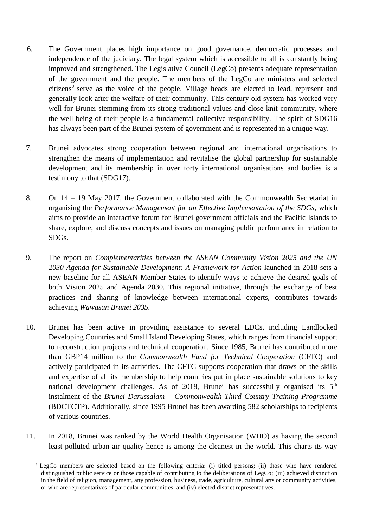- 6. The Government places high importance on good governance, democratic processes and independence of the judiciary. The legal system which is accessible to all is constantly being improved and strengthened. The Legislative Council (LegCo) presents adequate representation of the government and the people. The members of the LegCo are ministers and selected citizens<sup>2</sup> serve as the voice of the people. Village heads are elected to lead, represent and generally look after the welfare of their community. This century old system has worked very well for Brunei stemming from its strong traditional values and close-knit community, where the well-being of their people is a fundamental collective responsibility. The spirit of SDG16 has always been part of the Brunei system of government and is represented in a unique way.
- 7. Brunei advocates strong cooperation between regional and international organisations to strengthen the means of implementation and revitalise the global partnership for sustainable development and its membership in over forty international organisations and bodies is a testimony to that (SDG17).
- 8. On 14 19 May 2017, the Government collaborated with the Commonwealth Secretariat in organising the *Performance Management for an Effective Implementation of the SDGs,* which aims to provide an interactive forum for Brunei government officials and the Pacific Islands to share, explore, and discuss concepts and issues on managing public performance in relation to SDGs.
- 9. The report on *Complementarities between the ASEAN Community Vision 2025 and the UN 2030 Agenda for Sustainable Development: A Framework for Action* launched in 2018 sets a new baseline for all ASEAN Member States to identify ways to achieve the desired goals of both Vision 2025 and Agenda 2030. This regional initiative, through the exchange of best practices and sharing of knowledge between international experts, contributes towards achieving *Wawasan Brunei 2035.*
- 10. Brunei has been active in providing assistance to several LDCs, including Landlocked Developing Countries and Small Island Developing States, which ranges from financial support to reconstruction projects and technical cooperation. Since 1985, Brunei has contributed more than GBP14 million to the *Commonwealth Fund for Technical Cooperation* (CFTC) and actively participated in its activities. The CFTC supports cooperation that draws on the skills and expertise of all its membership to help countries put in place sustainable solutions to key national development challenges. As of 2018, Brunei has successfully organised its 5<sup>th</sup> instalment of the *Brunei Darussalam – Commonwealth Third Country Training Programme* (BDCTCTP). Additionally, since 1995 Brunei has been awarding 582 scholarships to recipients of various countries.
- 11. In 2018, Brunei was ranked by the World Health Organisation (WHO) as having the second least polluted urban air quality hence is among the cleanest in the world. This charts its way

<sup>2</sup> LegCo members are selected based on the following criteria: (i) titled persons; (ii) those who have rendered distinguished public service or those capable of contributing to the deliberations of LegCo; (iii) achieved distinction in the field of religion, management, any profession, business, trade, agriculture, cultural arts or community activities, or who are representatives of particular communities; and (iv) elected district representatives.